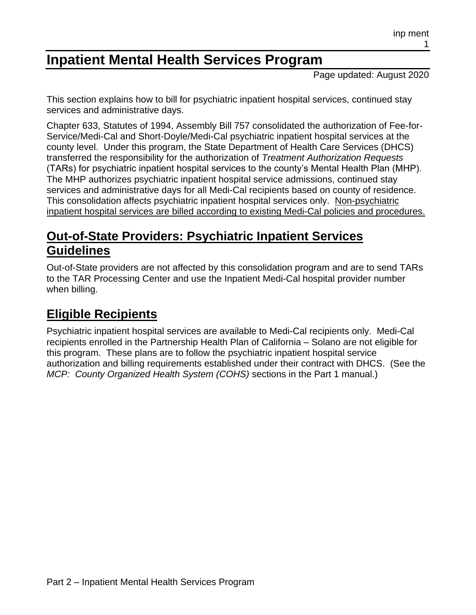# **Inpatient Mental Health Services Program**

Page updated: August 2020

This section explains how to bill for psychiatric inpatient hospital services, continued stay services and administrative days.

Chapter 633, Statutes of 1994, Assembly Bill 757 consolidated the authorization of Fee-for-Service/Medi-Cal and Short-Doyle/Medi-Cal psychiatric inpatient hospital services at the county level. Under this program, the State Department of Health Care Services (DHCS) transferred the responsibility for the authorization of *Treatment Authorization Requests* (TARs) for psychiatric inpatient hospital services to the county's Mental Health Plan (MHP). The MHP authorizes psychiatric inpatient hospital service admissions, continued stay services and administrative days for all Medi-Cal recipients based on county of residence. This consolidation affects psychiatric inpatient hospital services only. Non-psychiatric inpatient hospital services are billed according to existing Medi-Cal policies and procedures.

## **Out-of-State Providers: Psychiatric Inpatient Services Guidelines**

Out-of-State providers are not affected by this consolidation program and are to send TARs to the TAR Processing Center and use the Inpatient Medi-Cal hospital provider number when billing.

## **Eligible Recipients**

Psychiatric inpatient hospital services are available to Medi-Cal recipients only. Medi-Cal recipients enrolled in the Partnership Health Plan of California – Solano are not eligible for this program. These plans are to follow the psychiatric inpatient hospital service authorization and billing requirements established under their contract with DHCS. (See the *MCP: County Organized Health System (COHS)* sections in the Part 1 manual.)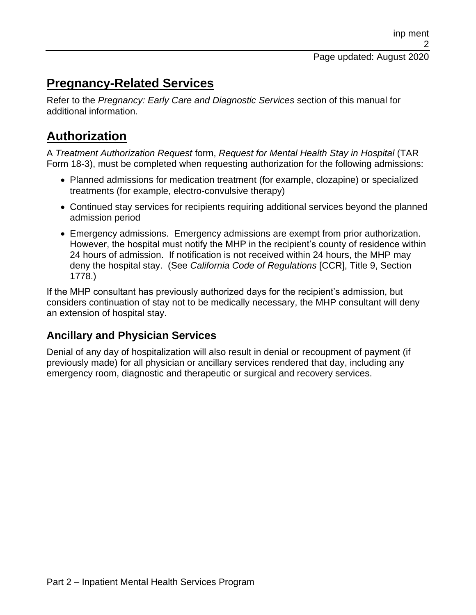## **Pregnancy-Related Services**

Refer to the *Pregnancy: Early Care and Diagnostic Services* section of this manual for additional information.

## **Authorization**

A *Treatment Authorization Request* form, *Request for Mental Health Stay in Hospital* (TAR Form 18-3), must be completed when requesting authorization for the following admissions:

- Planned admissions for medication treatment (for example, clozapine) or specialized treatments (for example, electro-convulsive therapy)
- Continued stay services for recipients requiring additional services beyond the planned admission period
- Emergency admissions. Emergency admissions are exempt from prior authorization. However, the hospital must notify the MHP in the recipient's county of residence within 24 hours of admission. If notification is not received within 24 hours, the MHP may deny the hospital stay. (See *California Code of Regulations* [CCR], Title 9, Section 1778.)

If the MHP consultant has previously authorized days for the recipient's admission, but considers continuation of stay not to be medically necessary, the MHP consultant will deny an extension of hospital stay.

#### **Ancillary and Physician Services**

Denial of any day of hospitalization will also result in denial or recoupment of payment (if previously made) for all physician or ancillary services rendered that day, including any emergency room, diagnostic and therapeutic or surgical and recovery services.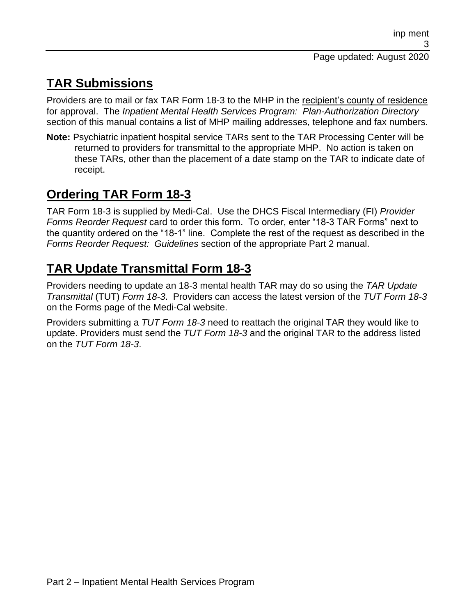# **TAR Submissions**

Providers are to mail or fax TAR Form 18-3 to the MHP in the recipient's county of residence for approval. The *Inpatient Mental Health Services Program: Plan-Authorization Directory* section of this manual contains a list of MHP mailing addresses, telephone and fax numbers.

**Note:** Psychiatric inpatient hospital service TARs sent to the TAR Processing Center will be returned to providers for transmittal to the appropriate MHP. No action is taken on these TARs, other than the placement of a date stamp on the TAR to indicate date of receipt.

# **Ordering TAR Form 18-3**

TAR Form 18-3 is supplied by Medi-Cal. Use the DHCS Fiscal Intermediary (FI) *Provider Forms Reorder Request* card to order this form. To order, enter "18-3 TAR Forms" next to the quantity ordered on the "18-1" line. Complete the rest of the request as described in the *Forms Reorder Request: Guidelines* section of the appropriate Part 2 manual.

# **TAR Update Transmittal Form 18-3**

Providers needing to update an 18-3 mental health TAR may do so using the *TAR Update Transmittal* (TUT) *Form 18-3*. Providers can access the latest version of the *TUT Form 18-3* on the Forms page of the Medi-Cal website.

Providers submitting a *TUT Form 18-3* need to reattach the original TAR they would like to update. Providers must send the *TUT Form 18-3* and the original TAR to the address listed on the *TUT Form 18-3*.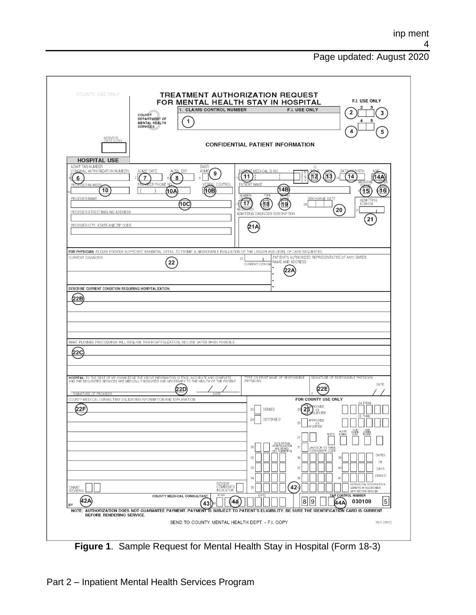#### Page updated: August 2020

| COUNTY USE ONLY<br>SERVICE<br>CATEGORY                                                                                                                                                            | 1. CLAIMS CONTROL NUMBER<br>COUNTY<br>DEPARTMENT OF<br>1<br>MENTAL HEALTH<br><b>SERVICES</b>                                                                                                                             | <b>TREATMENT AUTHORIZATION REQUEST</b><br>FOR MENTAL HEALTH STAY IN HOSPITAL<br><b>F.I. USE ONLY</b>                                                                                             | F.I. USE ONLY<br>3<br>5<br>5                                                                                                                                                                                        |
|---------------------------------------------------------------------------------------------------------------------------------------------------------------------------------------------------|--------------------------------------------------------------------------------------------------------------------------------------------------------------------------------------------------------------------------|--------------------------------------------------------------------------------------------------------------------------------------------------------------------------------------------------|---------------------------------------------------------------------------------------------------------------------------------------------------------------------------------------------------------------------|
|                                                                                                                                                                                                   |                                                                                                                                                                                                                          | <b>CONFIDENTIAL PATIENT INFORMATION</b>                                                                                                                                                          |                                                                                                                                                                                                                     |
| <b>HOSPITAL USE</b><br>ADMIT TAR NUMBER<br>(ORIGINAL AUTHORIZATION NUMBER)<br>6<br>PROVIDER NUMBER<br>10<br>PROVIDER NAME<br>PROVIDER STREET/MAILING ADDRESS<br>PROVIDER CITY, STATE AND ZIP CODE | EMER.<br>ADMIT DATE<br>AUTH EXP<br>ADMIT<br>9<br>7<br>8<br><b>IDER PHONE N</b><br><b>CONTROL</b><br>10B<br>10A<br>(10C                                                                                                   | <b>T</b> MEDI-CAL ID NO<br>(11<br>PATIENT NAME<br>14B<br>NUMBER<br><b>TYPE</b><br>值<br>17<br>19<br>20<br>$\overline{\text{max}}$ <sub>D</sub><br>RF (<br>ADMITTING DIAGNOSIS DESCRIPTION<br>(21/ | 12<br>12<br>14<br>16<br>DISCHARGE DATE<br>ADMITTING<br>ICD9-CM<br>20<br>21                                                                                                                                          |
| CURRENT DIAGNOSIS                                                                                                                                                                                 | FOR PHYSICIAN- PLEASE PROVIDE SUFFICIENT ESSENTIAL DETAIL TO PERMIT A REASONABLE EVALUATION OF THE LENGTH AND LEVEL OF CARE REQUESTED.<br>22                                                                             | 22<br>NAME AND ADDRESS<br>CURRENT ICD9-CM                                                                                                                                                        | PATIENT'S AUTHORIZED REPRESENTATIVE (IF ANY) ENTER                                                                                                                                                                  |
| (22C                                                                                                                                                                                              | WHAT PLANNED PROCEDURES WILL REQUIRE THIS HOSPITALIZATION, INCLUDE DATES WHEN POSSIBLE.                                                                                                                                  |                                                                                                                                                                                                  |                                                                                                                                                                                                                     |
|                                                                                                                                                                                                   | HOSPITAL: TO THE BEST OF MY KNOWLEDGE THE ABOVE INFORMATION IS TRUE, ACCURATE AND COMPLETE<br>AND THE REQUESTED SERVICES ARE MEDICALLY INDICATED AND NECESSARY TO THE HEALTH OF THE PATIENT.<br>(22D)                    | YPE OR PRINT NAME OF RESPONSIBLE<br>PHYSICIAN                                                                                                                                                    | SIGNATURE OF RESPONSIBLE PHYSICIAN<br>DATE<br>(22E                                                                                                                                                                  |
|                                                                                                                                                                                                   | DATE<br>COUNTY MEDI-CAL CONSULTANT-VALIDATING INFORMATION AND EXPLANATION                                                                                                                                                |                                                                                                                                                                                                  | FOR COUNTY USE ONLY<br>24 FROM                                                                                                                                                                                      |
| SIGNATURE OF PROVIDER<br>22F                                                                                                                                                                      |                                                                                                                                                                                                                          | 23<br>DENIED<br>28<br>DEFERRED<br>29<br>25                                                                                                                                                       | ROVED<br>IAS<br>QUESTED<br>26 THRU<br>APPROVED<br><b>LAS</b> AS<br>ᆸ<br>ـا اـــا<br>┙┕┙<br>∟∟                                                                                                                       |
| CHART<br>REVIEWS                                                                                                                                                                                  |                                                                                                                                                                                                                          | 27<br>DAYS OF THIS<br>HOSPITALIZATION<br>ARE DENIED<br><u>(SEE</u> C <u>OMME</u> NTS)<br>30<br>31<br>32<br>36<br>33<br>37<br>34<br>38<br>424<br>35                                               | SUB<br>ADMIN<br>VENT<br>SUB<br>ADMIN<br>N-VENT<br>ACUTE<br>ADMIN.<br>ACUTE<br><b>JACKSON VS RANK</b><br>PARAGRAPH CODE<br>DATES<br>39<br>OF<br>DAYS<br>DENIED<br>RETROACTIVE AUTHORIZATION<br>GRANTED IN ACCORDANCE |
| (42A<br> BY                                                                                                                                                                                       | REVIEW<br>COMMENTS<br>INDICATOR<br>ID.NO.<br>COUNTY MEDI-CAL CONSULTANT<br>43<br>NOTE: AUTHORIZATION DOES NOT GUARANTEE PAYMENT. PAYMENT IS SUBJECT TO PATIENT'S ELIGIBILITY. BE SURE THE IDENTIFICATION CARD IS CURRENT | DATE<br>8<br>44                                                                                                                                                                                  | WITH SECTION 51003 (B)<br><b>TAR CONTROL NUMBER</b><br>5<br>9<br>030108<br>44 A                                                                                                                                     |

**Figure 1**. Sample Request for Mental Health Stay in Hospital (Form 18-3)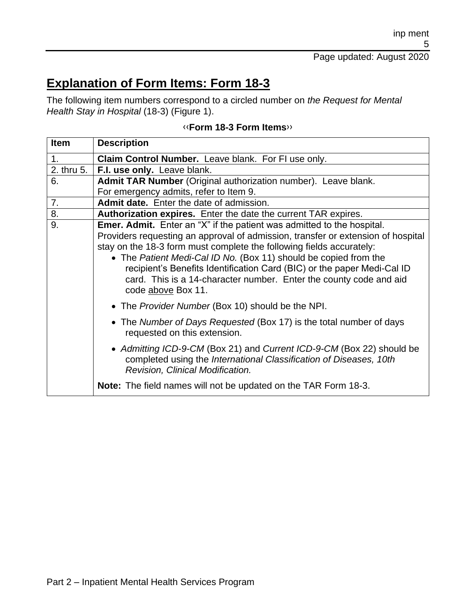## **Explanation of Form Items: Form 18-3**

The following item numbers correspond to a circled number on *the Request for Mental Health Stay in Hospital* (18-3) (Figure 1).

| <b>Item</b> | <b>Description</b>                                                                                                                                                                                                                                                                                                                                                                                                                                                                   |
|-------------|--------------------------------------------------------------------------------------------------------------------------------------------------------------------------------------------------------------------------------------------------------------------------------------------------------------------------------------------------------------------------------------------------------------------------------------------------------------------------------------|
| 1.          | Claim Control Number. Leave blank. For FI use only.                                                                                                                                                                                                                                                                                                                                                                                                                                  |
| 2. thru 5.  | F.I. use only. Leave blank.                                                                                                                                                                                                                                                                                                                                                                                                                                                          |
| 6.          | Admit TAR Number (Original authorization number). Leave blank.                                                                                                                                                                                                                                                                                                                                                                                                                       |
|             | For emergency admits, refer to Item 9.                                                                                                                                                                                                                                                                                                                                                                                                                                               |
| 7.          | <b>Admit date.</b> Enter the date of admission.                                                                                                                                                                                                                                                                                                                                                                                                                                      |
| 8.          | Authorization expires. Enter the date the current TAR expires.                                                                                                                                                                                                                                                                                                                                                                                                                       |
| 9.          | <b>Emer. Admit.</b> Enter an "X" if the patient was admitted to the hospital.<br>Providers requesting an approval of admission, transfer or extension of hospital<br>stay on the 18-3 form must complete the following fields accurately:<br>• The Patient Medi-Cal ID No. (Box 11) should be copied from the<br>recipient's Benefits Identification Card (BIC) or the paper Medi-Cal ID<br>card. This is a 14-character number. Enter the county code and aid<br>code above Box 11. |
|             | • The Provider Number (Box 10) should be the NPI.                                                                                                                                                                                                                                                                                                                                                                                                                                    |
|             | • The Number of Days Requested (Box 17) is the total number of days<br>requested on this extension.                                                                                                                                                                                                                                                                                                                                                                                  |
|             | • Admitting ICD-9-CM (Box 21) and Current ICD-9-CM (Box 22) should be<br>completed using the International Classification of Diseases, 10th<br>Revision, Clinical Modification.                                                                                                                                                                                                                                                                                                      |
|             | <b>Note:</b> The field names will not be updated on the TAR Form 18-3.                                                                                                                                                                                                                                                                                                                                                                                                               |

#### [‹‹](#page-12-0)**Form 18-3 Form Items**[››](#page-12-1)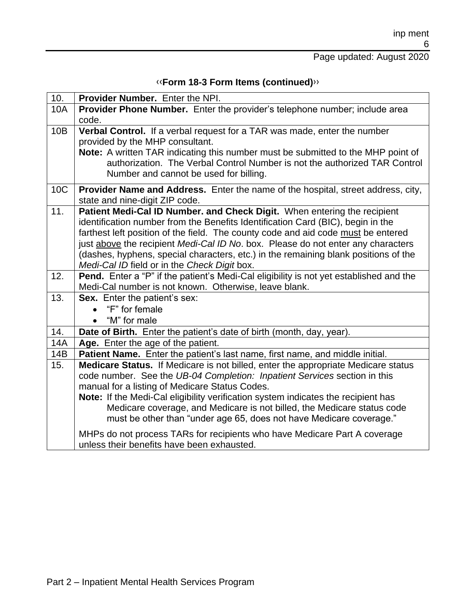#### Page updated: August 2020

| «Form 18-3 Form Items (continued)» |  |
|------------------------------------|--|
|------------------------------------|--|

| 10. | Provider Number. Enter the NPI.                                                                                                                |
|-----|------------------------------------------------------------------------------------------------------------------------------------------------|
| 10A | Provider Phone Number. Enter the provider's telephone number; include area                                                                     |
|     | code.                                                                                                                                          |
| 10B | Verbal Control. If a verbal request for a TAR was made, enter the number                                                                       |
|     | provided by the MHP consultant.                                                                                                                |
|     | Note: A written TAR indicating this number must be submitted to the MHP point of                                                               |
|     | authorization. The Verbal Control Number is not the authorized TAR Control                                                                     |
|     | Number and cannot be used for billing.                                                                                                         |
| 10C | Provider Name and Address. Enter the name of the hospital, street address, city,                                                               |
|     | state and nine-digit ZIP code.                                                                                                                 |
| 11. | Patient Medi-Cal ID Number. and Check Digit. When entering the recipient                                                                       |
|     | identification number from the Benefits Identification Card (BIC), begin in the                                                                |
|     | farthest left position of the field. The county code and aid code must be entered                                                              |
|     | just above the recipient Medi-Cal ID No. box. Please do not enter any characters                                                               |
|     | (dashes, hyphens, special characters, etc.) in the remaining blank positions of the                                                            |
|     | Medi-Cal ID field or in the Check Digit box.                                                                                                   |
| 12. | <b>Pend.</b> Enter a "P" if the patient's Medi-Cal eligibility is not yet established and the                                                  |
|     | Medi-Cal number is not known. Otherwise, leave blank.                                                                                          |
| 13. | Sex. Enter the patient's sex:                                                                                                                  |
|     | "F" for female                                                                                                                                 |
|     | "M" for male                                                                                                                                   |
| 14. | Date of Birth. Enter the patient's date of birth (month, day, year).                                                                           |
| 14A | Age. Enter the age of the patient.                                                                                                             |
| 14B | Patient Name. Enter the patient's last name, first name, and middle initial.                                                                   |
| 15. | Medicare Status. If Medicare is not billed, enter the appropriate Medicare status                                                              |
|     | code number. See the UB-04 Completion: Inpatient Services section in this                                                                      |
|     | manual for a listing of Medicare Status Codes.                                                                                                 |
|     | Note: If the Medi-Cal eligibility verification system indicates the recipient has                                                              |
|     | Medicare coverage, and Medicare is not billed, the Medicare status code<br>must be other than "under age 65, does not have Medicare coverage." |
|     |                                                                                                                                                |
|     | MHPs do not process TARs for recipients who have Medicare Part A coverage                                                                      |
|     | unless their benefits have been exhausted.                                                                                                     |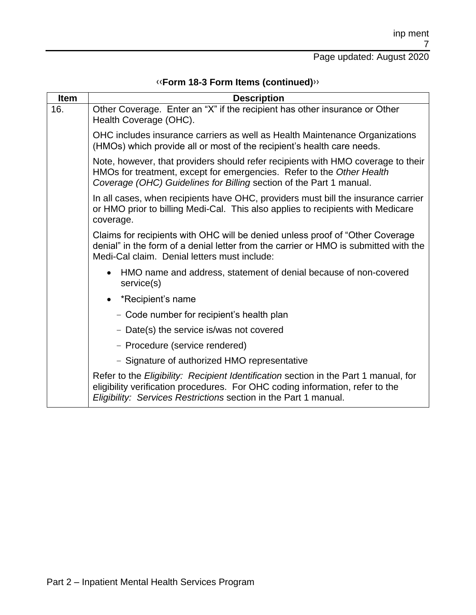# [‹‹](#page-12-0)**Form 18-3 Form Items (continued)**[››](#page-12-1)

| <b>Item</b> | <b>Description</b>                                                                                                                                                                                                                        |
|-------------|-------------------------------------------------------------------------------------------------------------------------------------------------------------------------------------------------------------------------------------------|
| 16.         | Other Coverage. Enter an "X" if the recipient has other insurance or Other<br>Health Coverage (OHC).                                                                                                                                      |
|             | OHC includes insurance carriers as well as Health Maintenance Organizations<br>(HMOs) which provide all or most of the recipient's health care needs.                                                                                     |
|             | Note, however, that providers should refer recipients with HMO coverage to their<br>HMOs for treatment, except for emergencies. Refer to the Other Health<br>Coverage (OHC) Guidelines for Billing section of the Part 1 manual.          |
|             | In all cases, when recipients have OHC, providers must bill the insurance carrier<br>or HMO prior to billing Medi-Cal. This also applies to recipients with Medicare<br>coverage.                                                         |
|             | Claims for recipients with OHC will be denied unless proof of "Other Coverage"<br>denial" in the form of a denial letter from the carrier or HMO is submitted with the<br>Medi-Cal claim. Denial letters must include:                    |
|             | HMO name and address, statement of denial because of non-covered<br>service(s)                                                                                                                                                            |
|             | *Recipient's name<br>$\bullet$                                                                                                                                                                                                            |
|             | - Code number for recipient's health plan                                                                                                                                                                                                 |
|             | - Date(s) the service is/was not covered                                                                                                                                                                                                  |
|             | - Procedure (service rendered)                                                                                                                                                                                                            |
|             | - Signature of authorized HMO representative                                                                                                                                                                                              |
|             | Refer to the Eligibility: Recipient Identification section in the Part 1 manual, for<br>eligibility verification procedures. For OHC coding information, refer to the<br>Eligibility: Services Restrictions section in the Part 1 manual. |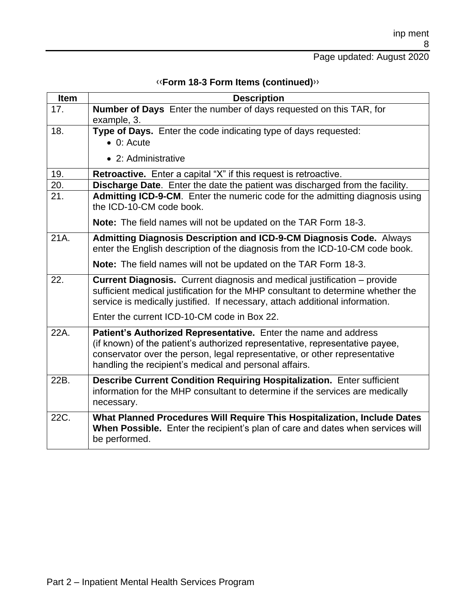#### Page updated: August 2020

| 17.  | <b>Number of Days</b> Enter the number of days requested on this TAR, for<br>example, 3.                                                                                                                                                                                                |
|------|-----------------------------------------------------------------------------------------------------------------------------------------------------------------------------------------------------------------------------------------------------------------------------------------|
|      |                                                                                                                                                                                                                                                                                         |
| 18.  | Type of Days. Enter the code indicating type of days requested:<br>$\bullet$ 0: Acute                                                                                                                                                                                                   |
|      | • 2: Administrative                                                                                                                                                                                                                                                                     |
| 19.  | <b>Retroactive.</b> Enter a capital "X" if this request is retroactive.                                                                                                                                                                                                                 |
| 20.  | Discharge Date. Enter the date the patient was discharged from the facility.                                                                                                                                                                                                            |
| 21.  | Admitting ICD-9-CM. Enter the numeric code for the admitting diagnosis using<br>the ICD-10-CM code book.                                                                                                                                                                                |
|      | Note: The field names will not be updated on the TAR Form 18-3.                                                                                                                                                                                                                         |
| 21A. | <b>Admitting Diagnosis Description and ICD-9-CM Diagnosis Code.</b> Always<br>enter the English description of the diagnosis from the ICD-10-CM code book.                                                                                                                              |
|      | Note: The field names will not be updated on the TAR Form 18-3.                                                                                                                                                                                                                         |
| 22.  | <b>Current Diagnosis.</b> Current diagnosis and medical justification – provide<br>sufficient medical justification for the MHP consultant to determine whether the<br>service is medically justified. If necessary, attach additional information.                                     |
|      | Enter the current ICD-10-CM code in Box 22.                                                                                                                                                                                                                                             |
| 22A. | Patient's Authorized Representative. Enter the name and address<br>(if known) of the patient's authorized representative, representative payee,<br>conservator over the person, legal representative, or other representative<br>handling the recipient's medical and personal affairs. |
| 22B. | <b>Describe Current Condition Requiring Hospitalization.</b> Enter sufficient<br>information for the MHP consultant to determine if the services are medically<br>necessary.                                                                                                            |
| 22C. | What Planned Procedures Will Require This Hospitalization, Include Dates<br>When Possible. Enter the recipient's plan of care and dates when services will<br>be performed.                                                                                                             |

#### [‹‹](#page-12-0)**Form 18-3 Form Items (continued)**[››](#page-12-1)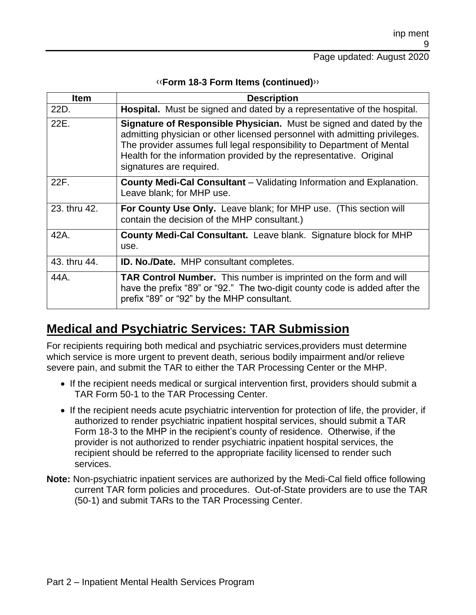| <b>Item</b>  | <b>Description</b>                                                                                                                                                                                                                                                                                                             |
|--------------|--------------------------------------------------------------------------------------------------------------------------------------------------------------------------------------------------------------------------------------------------------------------------------------------------------------------------------|
| 22D.         | Hospital. Must be signed and dated by a representative of the hospital.                                                                                                                                                                                                                                                        |
| 22E.         | Signature of Responsible Physician. Must be signed and dated by the<br>admitting physician or other licensed personnel with admitting privileges.<br>The provider assumes full legal responsibility to Department of Mental<br>Health for the information provided by the representative. Original<br>signatures are required. |
| 22F.         | <b>County Medi-Cal Consultant</b> – Validating Information and Explanation.<br>Leave blank; for MHP use.                                                                                                                                                                                                                       |
| 23. thru 42. | <b>For County Use Only.</b> Leave blank; for MHP use. (This section will<br>contain the decision of the MHP consultant.)                                                                                                                                                                                                       |
| 42A.         | <b>County Medi-Cal Consultant.</b> Leave blank. Signature block for MHP<br>use.                                                                                                                                                                                                                                                |
| 43. thru 44. | <b>ID. No./Date.</b> MHP consultant completes.                                                                                                                                                                                                                                                                                 |
| 44A.         | <b>TAR Control Number.</b> This number is imprinted on the form and will<br>have the prefix "89" or "92." The two-digit county code is added after the<br>prefix "89" or "92" by the MHP consultant.                                                                                                                           |

#### [‹‹](#page-12-0)**Form 18-3 Form Items (continued)**[››](#page-12-1)

### **Medical and Psychiatric Services: TAR Submission**

For recipients requiring both medical and psychiatric services,providers must determine which service is more urgent to prevent death, serious bodily impairment and/or relieve severe pain, and submit the TAR to either the TAR Processing Center or the MHP.

- If the recipient needs medical or surgical intervention first, providers should submit a TAR Form 50-1 to the TAR Processing Center.
- If the recipient needs acute psychiatric intervention for protection of life, the provider, if authorized to render psychiatric inpatient hospital services, should submit a TAR Form 18-3 to the MHP in the recipient's county of residence. Otherwise, if the provider is not authorized to render psychiatric inpatient hospital services, the recipient should be referred to the appropriate facility licensed to render such services.
- **Note:** Non-psychiatric inpatient services are authorized by the Medi-Cal field office following current TAR form policies and procedures. Out-of-State providers are to use the TAR (50-1) and submit TARs to the TAR Processing Center.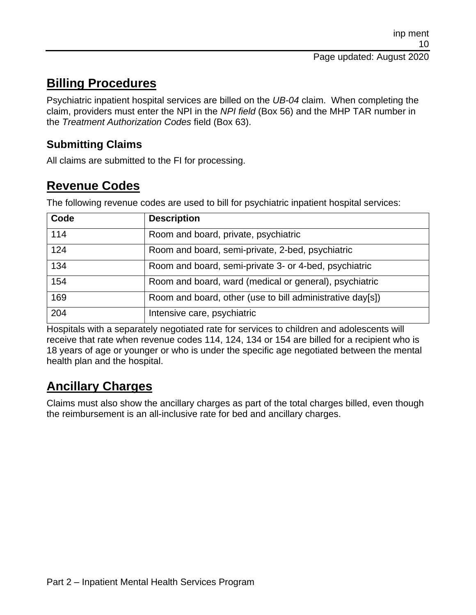## **Billing Procedures**

Psychiatric inpatient hospital services are billed on the *UB-04* claim. When completing the claim, providers must enter the NPI in the *NPI field* (Box 56) and the MHP TAR number in the *Treatment Authorization Codes* field (Box 63).

#### **Submitting Claims**

All claims are submitted to the FI for processing.

### **Revenue Codes**

The following revenue codes are used to bill for psychiatric inpatient hospital services:

| Code | <b>Description</b>                                        |
|------|-----------------------------------------------------------|
| 114  | Room and board, private, psychiatric                      |
| 124  | Room and board, semi-private, 2-bed, psychiatric          |
| 134  | Room and board, semi-private 3- or 4-bed, psychiatric     |
| 154  | Room and board, ward (medical or general), psychiatric    |
| 169  | Room and board, other (use to bill administrative day[s]) |
| 204  | Intensive care, psychiatric                               |

Hospitals with a separately negotiated rate for services to children and adolescents will receive that rate when revenue codes 114, 124, 134 or 154 are billed for a recipient who is 18 years of age or younger or who is under the specific age negotiated between the mental health plan and the hospital.

### **Ancillary Charges**

Claims must also show the ancillary charges as part of the total charges billed, even though the reimbursement is an all-inclusive rate for bed and ancillary charges.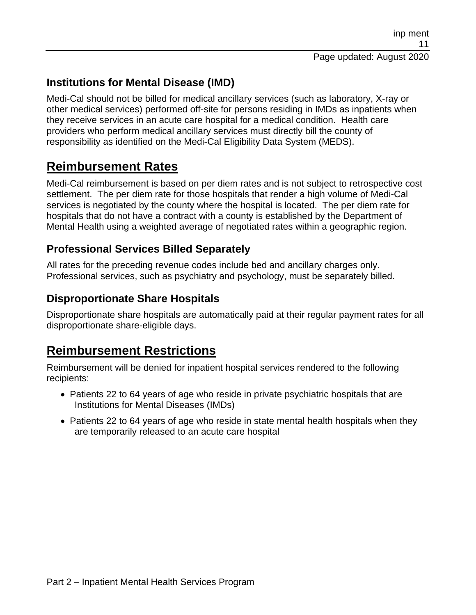#### **Institutions for Mental Disease (IMD)**

Medi-Cal should not be billed for medical ancillary services (such as laboratory, X-ray or other medical services) performed off-site for persons residing in IMDs as inpatients when they receive services in an acute care hospital for a medical condition. Health care providers who perform medical ancillary services must directly bill the county of responsibility as identified on the Medi-Cal Eligibility Data System (MEDS).

#### **Reimbursement Rates**

Medi-Cal reimbursement is based on per diem rates and is not subject to retrospective cost settlement. The per diem rate for those hospitals that render a high volume of Medi-Cal services is negotiated by the county where the hospital is located. The per diem rate for hospitals that do not have a contract with a county is established by the Department of Mental Health using a weighted average of negotiated rates within a geographic region.

#### **Professional Services Billed Separately**

All rates for the preceding revenue codes include bed and ancillary charges only. Professional services, such as psychiatry and psychology, must be separately billed.

#### **Disproportionate Share Hospitals**

Disproportionate share hospitals are automatically paid at their regular payment rates for all disproportionate share-eligible days.

#### **Reimbursement Restrictions**

Reimbursement will be denied for inpatient hospital services rendered to the following recipients:

- Patients 22 to 64 years of age who reside in private psychiatric hospitals that are Institutions for Mental Diseases (IMDs)
- Patients 22 to 64 years of age who reside in state mental health hospitals when they are temporarily released to an acute care hospital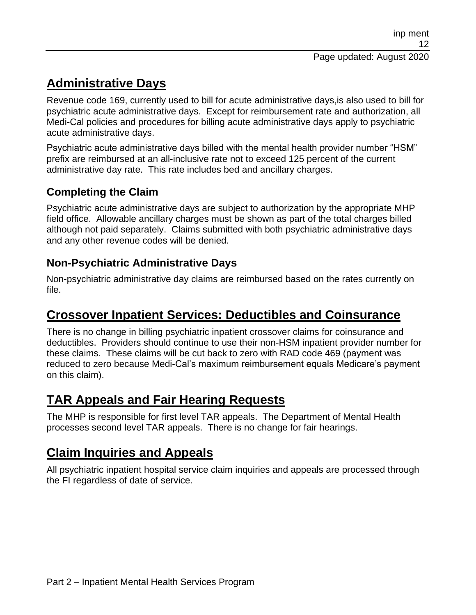# **Administrative Days**

Revenue code 169, currently used to bill for acute administrative days,is also used to bill for psychiatric acute administrative days. Except for reimbursement rate and authorization, all Medi-Cal policies and procedures for billing acute administrative days apply to psychiatric acute administrative days.

Psychiatric acute administrative days billed with the mental health provider number "HSM" prefix are reimbursed at an all-inclusive rate not to exceed 125 percent of the current administrative day rate. This rate includes bed and ancillary charges.

#### **Completing the Claim**

Psychiatric acute administrative days are subject to authorization by the appropriate MHP field office. Allowable ancillary charges must be shown as part of the total charges billed although not paid separately. Claims submitted with both psychiatric administrative days and any other revenue codes will be denied.

#### **Non-Psychiatric Administrative Days**

Non-psychiatric administrative day claims are reimbursed based on the rates currently on file.

### **Crossover Inpatient Services: Deductibles and Coinsurance**

There is no change in billing psychiatric inpatient crossover claims for coinsurance and deductibles. Providers should continue to use their non-HSM inpatient provider number for these claims. These claims will be cut back to zero with RAD code 469 (payment was reduced to zero because Medi-Cal's maximum reimbursement equals Medicare's payment on this claim).

### **TAR Appeals and Fair Hearing Requests**

The MHP is responsible for first level TAR appeals. The Department of Mental Health processes second level TAR appeals. There is no change for fair hearings.

## **Claim Inquiries and Appeals**

All psychiatric inpatient hospital service claim inquiries and appeals are processed through the FI regardless of date of service.